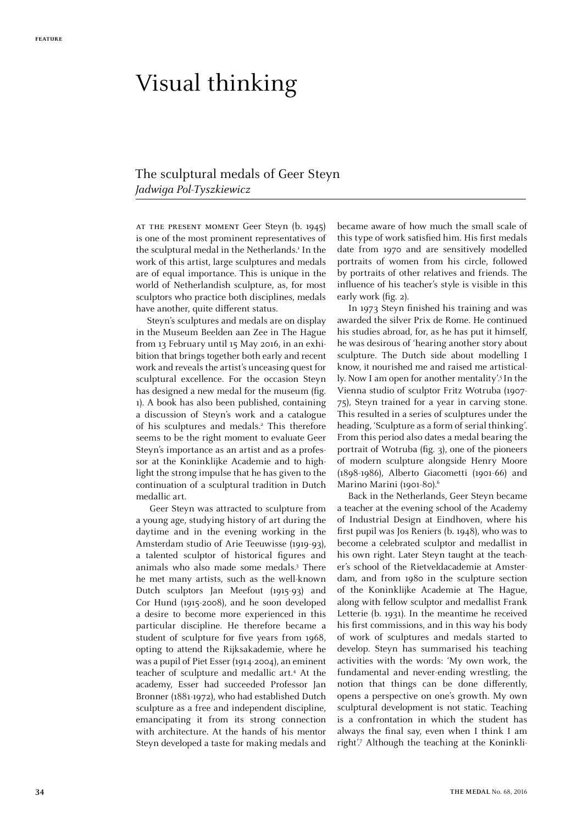## Visual thinking

## The sculptural medals of Geer Steyn *Jadwiga Pol-Tyszkiewicz*

at the present moment Geer Steyn (b. 1945) is one of the most prominent representatives of the sculptural medal in the Netherlands.<sup>1</sup> In the work of this artist, large sculptures and medals are of equal importance. This is unique in the world of Netherlandish sculpture, as, for most sculptors who practice both disciplines, medals have another, quite different status.

Steyn's sculptures and medals are on display in the Museum Beelden aan Zee in The Hague from 13 February until 15 May 2016, in an exhibition that brings together both early and recent work and reveals the artist's unceasing quest for sculptural excellence. For the occasion Steyn has designed a new medal for the museum (fig. 1). A book has also been published, containing a discussion of Steyn's work and a catalogue of his sculptures and medals.<sup>2</sup> This therefore seems to be the right moment to evaluate Geer Steyn's importance as an artist and as a professor at the Koninklijke Academie and to highlight the strong impulse that he has given to the continuation of a sculptural tradition in Dutch medallic art.

Geer Steyn was attracted to sculpture from a young age, studying history of art during the daytime and in the evening working in the Amsterdam studio of Arie Teeuwisse (1919-93), a talented sculptor of historical figures and animals who also made some medals.3 There he met many artists, such as the well-known Dutch sculptors Jan Meefout (1915-93) and Cor Hund (1915-2008), and he soon developed a desire to become more experienced in this particular discipline. He therefore became a student of sculpture for five years from 1968, opting to attend the Rijksakademie, where he was a pupil of Piet Esser (1914-2004), an eminent teacher of sculpture and medallic art.4 At the academy, Esser had succeeded Professor Jan Bronner (1881-1972), who had established Dutch sculpture as a free and independent discipline, emancipating it from its strong connection with architecture. At the hands of his mentor Steyn developed a taste for making medals and

became aware of how much the small scale of this type of work satisfied him. His first medals date from 1970 and are sensitively modelled portraits of women from his circle, followed by portraits of other relatives and friends. The influence of his teacher's style is visible in this early work (fig. 2).

In 1973 Steyn finished his training and was awarded the silver Prix de Rome. He continued his studies abroad, for, as he has put it himself, he was desirous of 'hearing another story about sculpture. The Dutch side about modelling I know, it nourished me and raised me artistically. Now I am open for another mentality'.<sup>5</sup> In the Vienna studio of sculptor Fritz Wotruba (1907- 75), Steyn trained for a year in carving stone. This resulted in a series of sculptures under the heading, 'Sculpture as a form of serial thinking'. From this period also dates a medal bearing the portrait of Wotruba (fig. 3), one of the pioneers of modern sculpture alongside Henry Moore (1898-1986), Alberto Giacometti (1901-66) and Marino Marini (1901-80).<sup>6</sup>

Back in the Netherlands, Geer Steyn became a teacher at the evening school of the Academy of Industrial Design at Eindhoven, where his first pupil was Jos Reniers (b. 1948), who was to become a celebrated sculptor and medallist in his own right. Later Steyn taught at the teacher's school of the Rietveldacademie at Amsterdam, and from 1980 in the sculpture section of the Koninklijke Academie at The Hague, along with fellow sculptor and medallist Frank Letterie (b. 1931). In the meantime he received his first commissions, and in this way his body of work of sculptures and medals started to develop. Steyn has summarised his teaching activities with the words: 'My own work, the fundamental and never-ending wrestling, the notion that things can be done differently, opens a perspective on one's growth. My own sculptural development is not static. Teaching is a confrontation in which the student has always the final say, even when I think I am right'.7 Although the teaching at the Koninkli-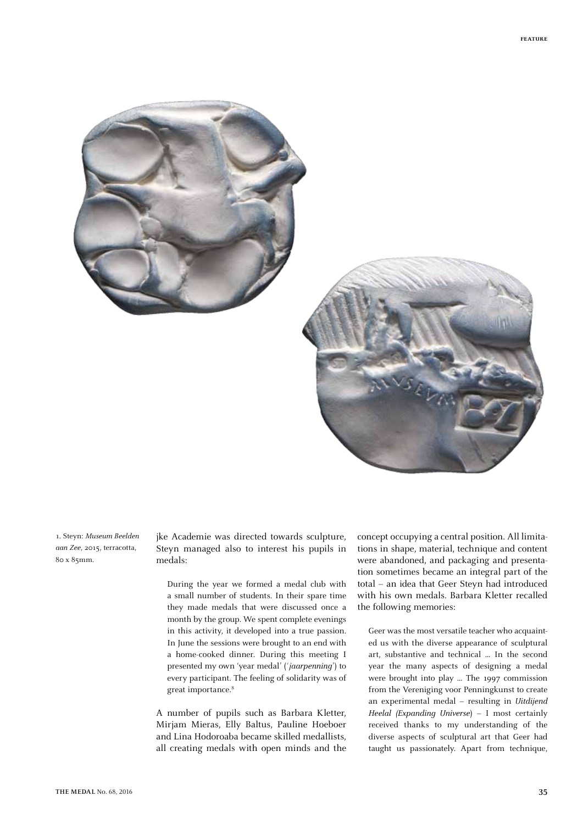



1. Steyn: *Museum Beelden aan Zee*, 2015, terracotta, 80 x 85mm.

jke Academie was directed towards sculpture, Steyn managed also to interest his pupils in medals:

During the year we formed a medal club with a small number of students. In their spare time they made medals that were discussed once a month by the group. We spent complete evenings in this activity, it developed into a true passion. In June the sessions were brought to an end with a home-cooked dinner. During this meeting I presented my own 'year medal' (*'jaarpenning*') to every participant. The feeling of solidarity was of great importance.<sup>8</sup>

A number of pupils such as Barbara Kletter, Mirjam Mieras, Elly Baltus, Pauline Hoeboer and Lina Hodoroaba became skilled medallists, all creating medals with open minds and the concept occupying a central position. All limitations in shape, material, technique and content were abandoned, and packaging and presentation sometimes became an integral part of the total – an idea that Geer Steyn had introduced with his own medals. Barbara Kletter recalled the following memories:

Geer was the most versatile teacher who acquainted us with the diverse appearance of sculptural art, substantive and technical … In the second year the many aspects of designing a medal were brought into play … The 1997 commission from the Vereniging voor Penningkunst to create an experimental medal – resulting in *Uitdijend Heelal (Expanding Universe*) – I most certainly received thanks to my understanding of the diverse aspects of sculptural art that Geer had taught us passionately. Apart from technique,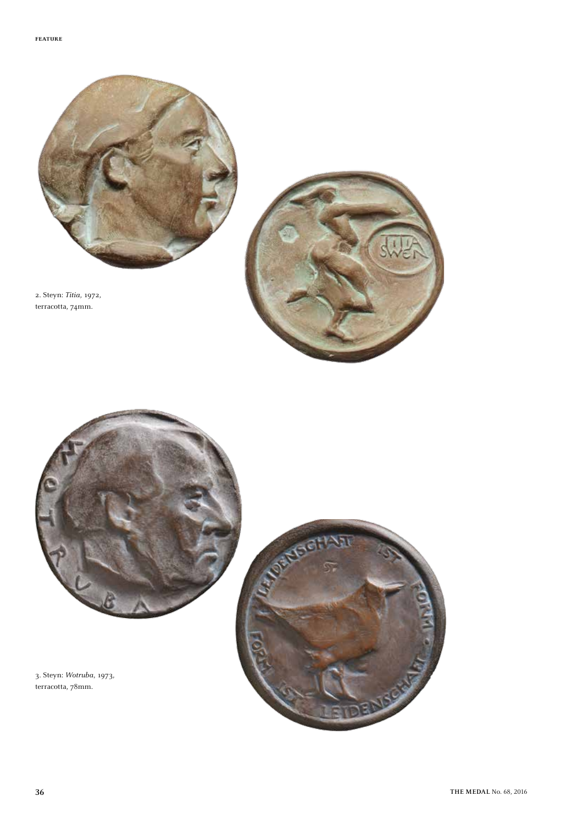

2. Steyn: *Titia*, 1972, terracotta, 74mm.





3. Steyn: *Wotruba*, 1973, terracotta, 78mm.

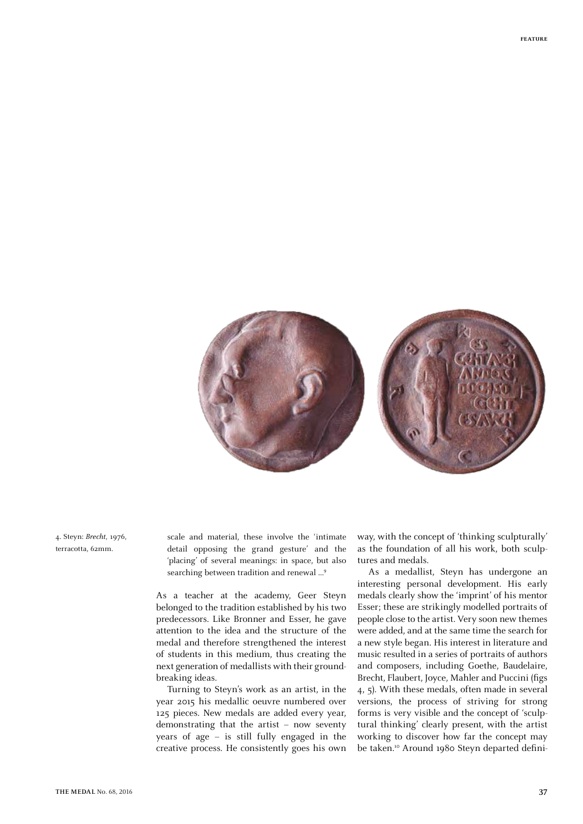

4. Steyn: *Brecht*, 1976, terracotta, 62mm.

scale and material, these involve the 'intimate detail opposing the grand gesture' and the 'placing' of several meanings: in space, but also searching between tradition and renewal ...<sup>9</sup>

As a teacher at the academy, Geer Steyn belonged to the tradition established by his two predecessors. Like Bronner and Esser, he gave attention to the idea and the structure of the medal and therefore strengthened the interest of students in this medium, thus creating the next generation of medallists with their groundbreaking ideas.

Turning to Steyn's work as an artist, in the year 2015 his medallic oeuvre numbered over 125 pieces. New medals are added every year, demonstrating that the artist – now seventy years of age – is still fully engaged in the creative process. He consistently goes his own

way, with the concept of 'thinking sculpturally' as the foundation of all his work, both sculptures and medals.

As a medallist, Steyn has undergone an interesting personal development. His early medals clearly show the 'imprint' of his mentor Esser; these are strikingly modelled portraits of people close to the artist. Very soon new themes were added, and at the same time the search for a new style began. His interest in literature and music resulted in a series of portraits of authors and composers, including Goethe, Baudelaire, Brecht, Flaubert, Joyce, Mahler and Puccini (figs 4, 5). With these medals, often made in several versions, the process of striving for strong forms is very visible and the concept of 'sculptural thinking' clearly present, with the artist working to discover how far the concept may be taken.<sup>10</sup> Around 1980 Steyn departed defini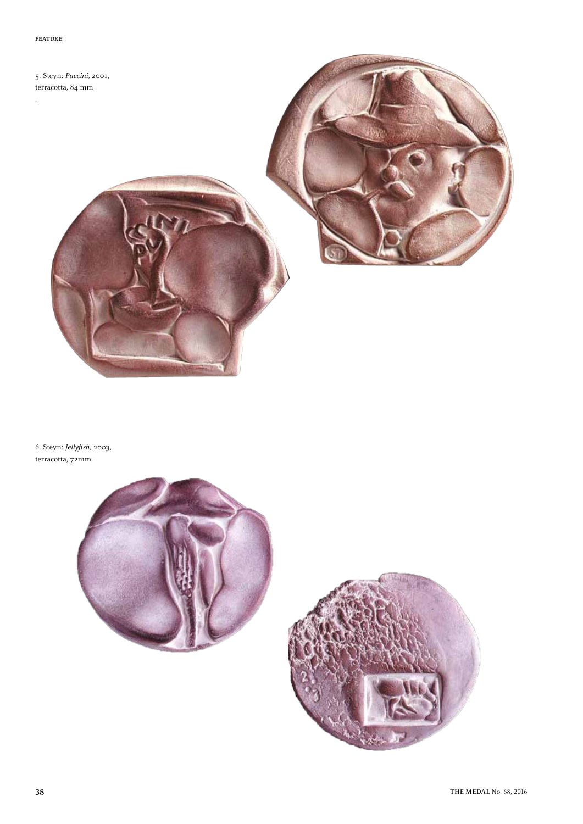.

5. Steyn: *Puccini,* 2001, terracotta, 84 mm

6. Steyn: *Jellyfish*, 2003, terracotta, 72mm.



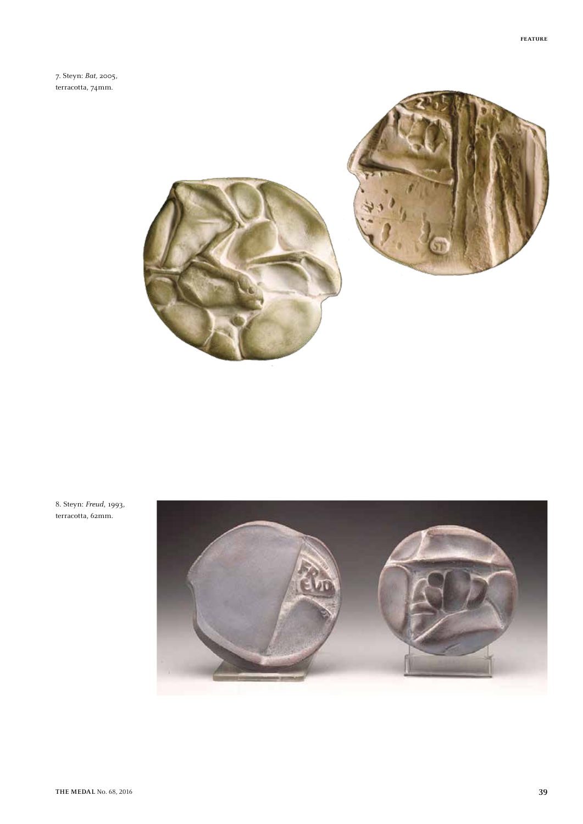7. Steyn: *Bat,* 2005, terracotta, 74mm.





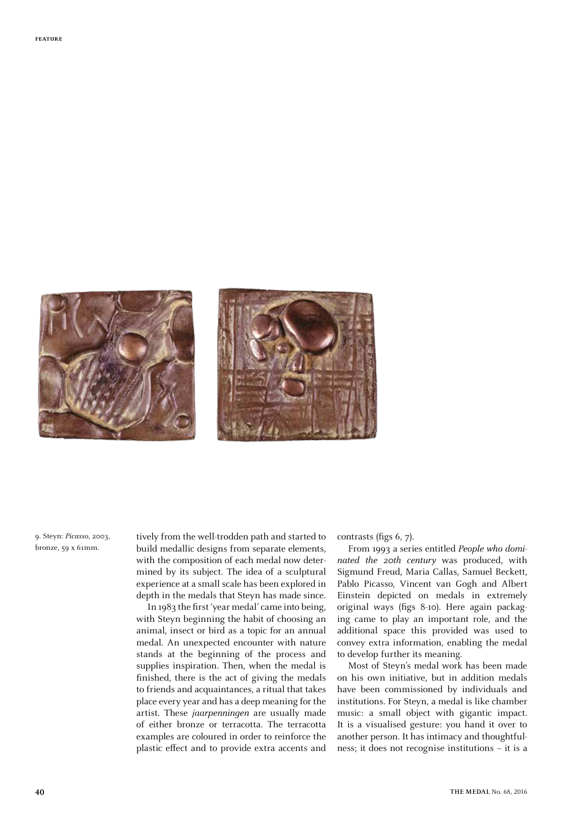



9. Steyn: *Picasso*, 2003, bronze, 59 x 61mm.

tively from the well-trodden path and started to build medallic designs from separate elements, with the composition of each medal now determined by its subject. The idea of a sculptural experience at a small scale has been explored in depth in the medals that Steyn has made since.

In 1983 the first 'year medal' came into being, with Steyn beginning the habit of choosing an animal, insect or bird as a topic for an annual medal. An unexpected encounter with nature stands at the beginning of the process and supplies inspiration. Then, when the medal is finished, there is the act of giving the medals to friends and acquaintances, a ritual that takes place every year and has a deep meaning for the artist. These *jaarpenningen* are usually made of either bronze or terracotta. The terracotta examples are coloured in order to reinforce the plastic effect and to provide extra accents and contrasts (figs 6, 7).

From 1993 a series entitled *People who dominated the 20th century* was produced, with Sigmund Freud, Maria Callas, Samuel Beckett, Pablo Picasso, Vincent van Gogh and Albert Einstein depicted on medals in extremely original ways (figs 8-10). Here again packaging came to play an important role, and the additional space this provided was used to convey extra information, enabling the medal to develop further its meaning.

Most of Steyn's medal work has been made on his own initiative, but in addition medals have been commissioned by individuals and institutions. For Steyn, a medal is like chamber music: a small object with gigantic impact. It is a visualised gesture: you hand it over to another person. It has intimacy and thoughtfulness; it does not recognise institutions – it is a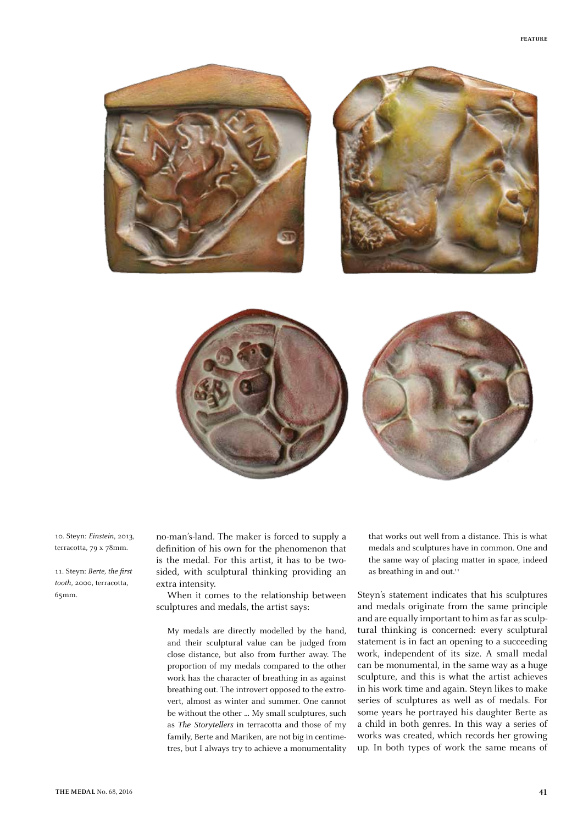





10. Steyn: *Einstein*, 2013, terracotta, 79 x 78mm.

11. Steyn: *Berte, the first tooth*, 2000, terracotta, 65mm.

no-man's-land. The maker is forced to supply a definition of his own for the phenomenon that is the medal. For this artist, it has to be twosided, with sculptural thinking providing an extra intensity.

When it comes to the relationship between sculptures and medals, the artist says:

My medals are directly modelled by the hand, and their sculptural value can be judged from close distance, but also from further away. The proportion of my medals compared to the other work has the character of breathing in as against breathing out. The introvert opposed to the extrovert, almost as winter and summer. One cannot be without the other … My small sculptures, such as *The Storytellers* in terracotta and those of my family, Berte and Mariken, are not big in centimetres, but I always try to achieve a monumentality that works out well from a distance. This is what medals and sculptures have in common. One and the same way of placing matter in space, indeed as breathing in and out.<sup>11</sup>

Steyn's statement indicates that his sculptures and medals originate from the same principle and are equally important to him as far as sculptural thinking is concerned: every sculptural statement is in fact an opening to a succeeding work, independent of its size. A small medal can be monumental, in the same way as a huge sculpture, and this is what the artist achieves in his work time and again. Steyn likes to make series of sculptures as well as of medals. For some years he portrayed his daughter Berte as a child in both genres. In this way a series of works was created, which records her growing up. In both types of work the same means of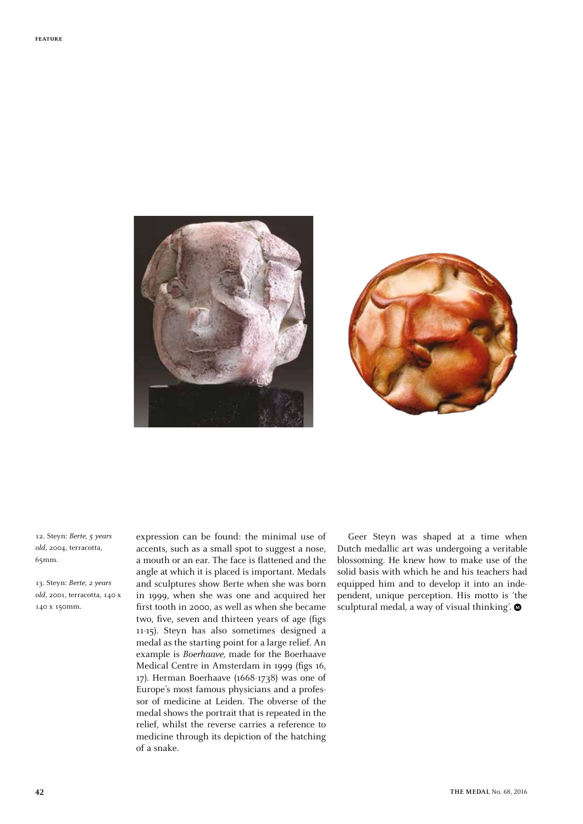



12. Steyn: *Berte, 5 years old*, 2004, terracotta, 65mm.

13. Steyn: *Berte, 2 years old*, 2001, terracotta, 140 x 140 x 150mm.

expression can be found: the minimal use of accents, such as a small spot to suggest a nose, a mouth or an ear. The face is flattened and the angle at which it is placed is important. Medals and sculptures show Berte when she was born in 1999, when she was one and acquired her first tooth in 2000, as well as when she became two, five, seven and thirteen years of age (figs 11-15). Steyn has also sometimes designed a medal as the starting point for a large relief. An example is *Boerhaave,* made for the Boerhaave Medical Centre in Amsterdam in 1999 (figs 16, 17). Herman Boerhaave (1668-1738) was one of Europe's most famous physicians and a professor of medicine at Leiden. The obverse of the medal shows the portrait that is repeated in the relief, whilst the reverse carries a reference to medicine through its depiction of the hatching of a snake.

Geer Steyn was shaped at a time when Dutch medallic art was undergoing a veritable blossoming. He knew how to make use of the solid basis with which he and his teachers had equipped him and to develop it into an independent, unique perception. His motto is 'the sculptural medal, a way of visual thinking'.  $\bullet$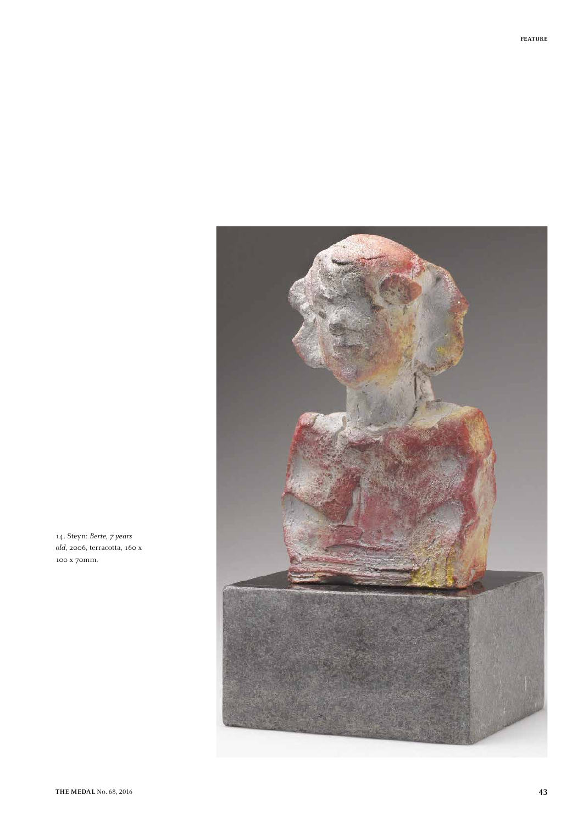

14. Steyn: *Berte, 7 years old*, 2006, terracotta, 160 x 100 x 70mm.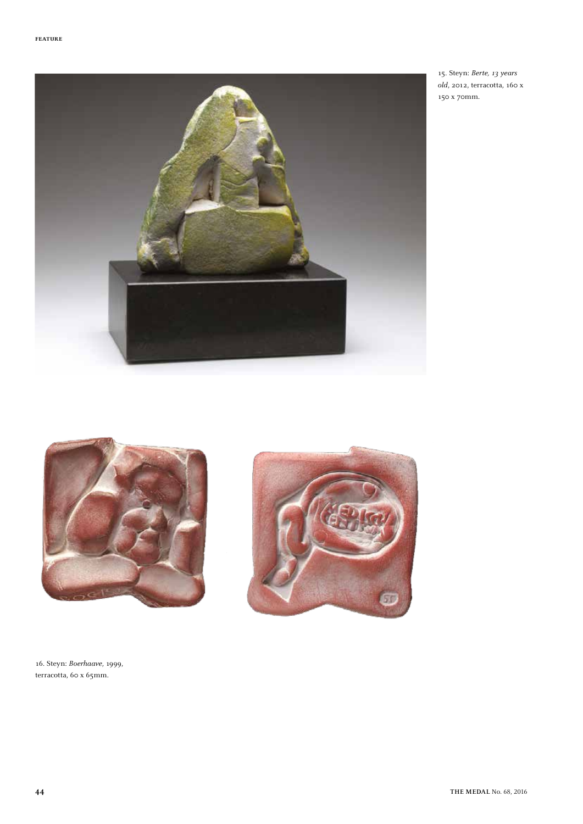

15. Steyn: *Berte, 13 years old*, 2012, terracotta, 160 x 150 x 70mm.





16. Steyn: *Boerhaave*, 1999, terracotta, 60 x 65mm.